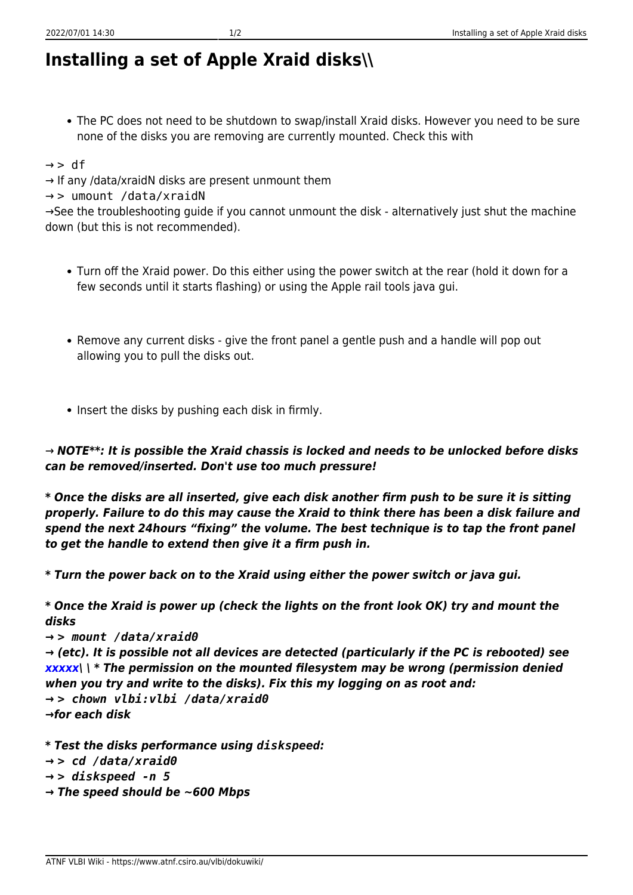## **Installing a set of Apple Xraid disks\\**

The PC does not need to be shutdown to swap/install Xraid disks. However you need to be sure none of the disks you are removing are currently mounted. Check this with

 $\rightarrow$  > df

→ If any /data/xraidN disks are present unmount them

→ > umount /data/xraidN

→See the troubleshooting guide if you cannot unmount the disk - alternatively just shut the machine down (but this is not recommended).

- Turn off the Xraid power. Do this either using the power switch at the rear (hold it down for a few seconds until it starts flashing) or using the Apple rail tools java gui.
- Remove any current disks give the front panel a gentle push and a handle will pop out allowing you to pull the disks out.
- Insert the disks by pushing each disk in firmly.

→ *NOTE\*\*: It is possible the Xraid chassis is locked and needs to be unlocked before disks can be removed/inserted. Don't use too much pressure!*

*\* Once the disks are all inserted, give each disk another firm push to be sure it is sitting properly. Failure to do this may cause the Xraid to think there has been a disk failure and spend the next 24hours "fixing" the volume. The best technique is to tap the front panel to get the handle to extend then give it a firm push in.*

*\* Turn the power back on to the Xraid using either the power switch or java gui.*

*\* Once the Xraid is power up (check the lights on the front look OK) try and mount the disks*

*→ > mount /data/xraid0*

*→ (etc). It is possible not all devices are detected (particularly if the PC is rebooted) see [xxxxx](https://www.atnf.csiro.au/vlbi/dokuwiki/doku.php/lbaops/xxxxx)\ \ \* The permission on the mounted filesystem may be wrong (permission denied when you try and write to the disks). Fix this my logging on as root and: → > chown vlbi:vlbi /data/xraid0 →for each disk*

*\* Test the disks performance using diskspeed: → > cd /data/xraid0*

*→ > diskspeed -n 5*

*→ The speed should be ~600 Mbps*